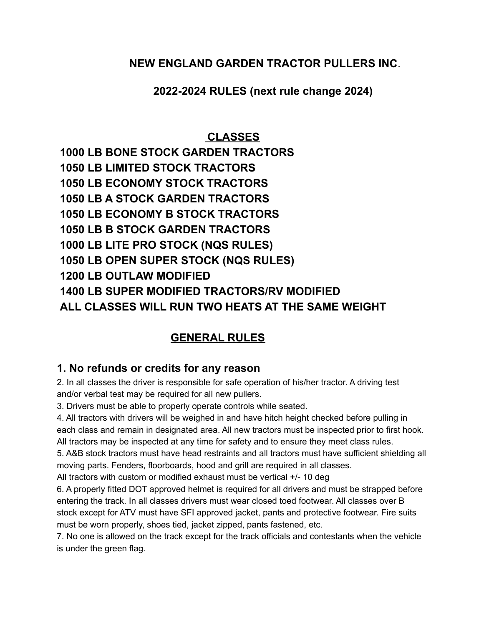#### **NEW ENGLAND GARDEN TRACTOR PULLERS INC**.

**2022-2024 RULES (next rule change 2024)**

## **CLASSES**

 **LB BONE STOCK GARDEN TRACTORS LB LIMITED STOCK TRACTORS LB ECONOMY STOCK TRACTORS LB A STOCK GARDEN TRACTORS LB ECONOMY B STOCK TRACTORS LB B STOCK GARDEN TRACTORS LB LITE PRO STOCK (NQS RULES) LB OPEN SUPER STOCK (NQS RULES) LB OUTLAW MODIFIED LB SUPER MODIFIED TRACTORS/RV MODIFIED ALL CLASSES WILL RUN TWO HEATS AT THE SAME WEIGHT**

# **GENERAL RULES**

## **1. No refunds or credits for any reason**

2. In all classes the driver is responsible for safe operation of his/her tractor. A driving test and/or verbal test may be required for all new pullers.

3. Drivers must be able to properly operate controls while seated.

4. All tractors with drivers will be weighed in and have hitch height checked before pulling in each class and remain in designated area. All new tractors must be inspected prior to first hook. All tractors may be inspected at any time for safety and to ensure they meet class rules.

5. A&B stock tractors must have head restraints and all tractors must have sufficient shielding all moving parts. Fenders, floorboards, hood and grill are required in all classes.

All tractors with custom or modified exhaust must be vertical +/- 10 deg

6. A properly fitted DOT approved helmet is required for all drivers and must be strapped before entering the track. In all classes drivers must wear closed toed footwear. All classes over B stock except for ATV must have SFI approved jacket, pants and protective footwear. Fire suits must be worn properly, shoes tied, jacket zipped, pants fastened, etc.

7. No one is allowed on the track except for the track officials and contestants when the vehicle is under the green flag.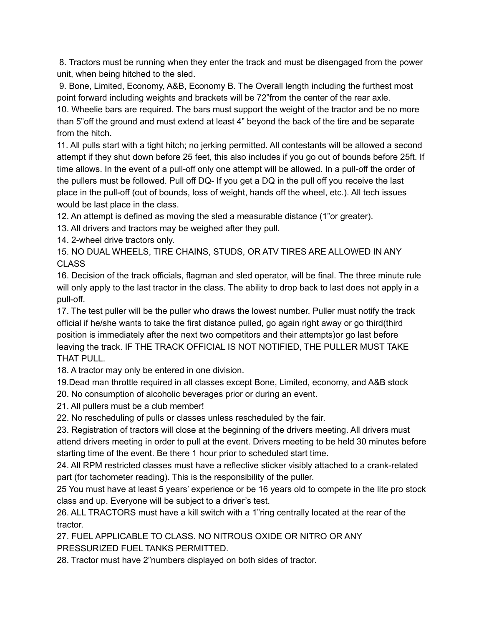8. Tractors must be running when they enter the track and must be disengaged from the power unit, when being hitched to the sled.

9. Bone, Limited, Economy, A&B, Economy B. The Overall length including the furthest most point forward including weights and brackets will be 72"from the center of the rear axle.

10. Wheelie bars are required. The bars must support the weight of the tractor and be no more than 5"off the ground and must extend at least 4" beyond the back of the tire and be separate from the hitch.

11. All pulls start with a tight hitch; no jerking permitted. All contestants will be allowed a second attempt if they shut down before 25 feet, this also includes if you go out of bounds before 25ft. If time allows. In the event of a pull-off only one attempt will be allowed. In a pull-off the order of the pullers must be followed. Pull off DQ- If you get a DQ in the pull off you receive the last place in the pull-off (out of bounds, loss of weight, hands off the wheel, etc.). All tech issues would be last place in the class.

12. An attempt is defined as moving the sled a measurable distance (1"or greater).

13. All drivers and tractors may be weighed after they pull.

14. 2-wheel drive tractors only.

15. NO DUAL WHEELS, TIRE CHAINS, STUDS, OR ATV TIRES ARE ALLOWED IN ANY CLASS

16. Decision of the track officials, flagman and sled operator, will be final. The three minute rule will only apply to the last tractor in the class. The ability to drop back to last does not apply in a pull-off.

17. The test puller will be the puller who draws the lowest number. Puller must notify the track official if he/she wants to take the first distance pulled, go again right away or go third(third position is immediately after the next two competitors and their attempts)or go last before leaving the track. IF THE TRACK OFFICIAL IS NOT NOTIFIED, THE PULLER MUST TAKE THAT PULL.

18. A tractor may only be entered in one division.

19.Dead man throttle required in all classes except Bone, Limited, economy, and A&B stock 20. No consumption of alcoholic beverages prior or during an event.

21. All pullers must be a club member!

22. No rescheduling of pulls or classes unless rescheduled by the fair.

23. Registration of tractors will close at the beginning of the drivers meeting. All drivers must attend drivers meeting in order to pull at the event. Drivers meeting to be held 30 minutes before starting time of the event. Be there 1 hour prior to scheduled start time.

24. All RPM restricted classes must have a reflective sticker visibly attached to a crank-related part (for tachometer reading). This is the responsibility of the puller.

25 You must have at least 5 years' experience or be 16 years old to compete in the lite pro stock class and up. Everyone will be subject to a driver's test.

26. ALL TRACTORS must have a kill switch with a 1"ring centrally located at the rear of the tractor.

27. FUEL APPLICABLE TO CLASS. NO NITROUS OXIDE OR NITRO OR ANY PRESSURIZED FUEL TANKS PERMITTED.

28. Tractor must have 2"numbers displayed on both sides of tractor.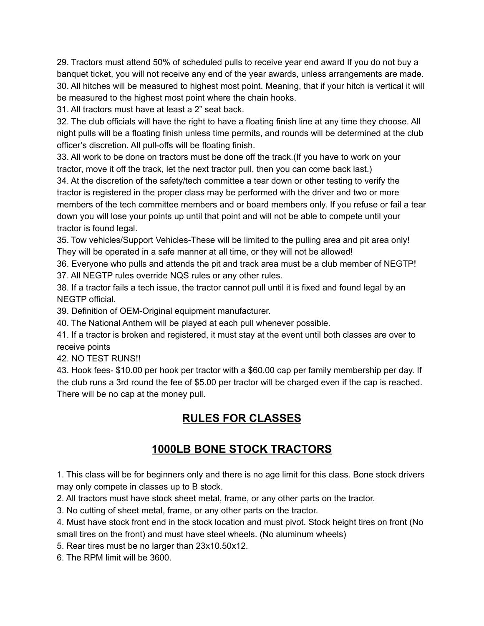29. Tractors must attend 50% of scheduled pulls to receive year end award If you do not buy a banquet ticket, you will not receive any end of the year awards, unless arrangements are made. 30. All hitches will be measured to highest most point. Meaning, that if your hitch is vertical it will be measured to the highest most point where the chain hooks.

31. All tractors must have at least a 2" seat back.

32. The club officials will have the right to have a floating finish line at any time they choose. All night pulls will be a floating finish unless time permits, and rounds will be determined at the club officer's discretion. All pull-offs will be floating finish.

33. All work to be done on tractors must be done off the track.(If you have to work on your tractor, move it off the track, let the next tractor pull, then you can come back last.)

34. At the discretion of the safety/tech committee a tear down or other testing to verify the tractor is registered in the proper class may be performed with the driver and two or more members of the tech committee members and or board members only. If you refuse or fail a tear down you will lose your points up until that point and will not be able to compete until your tractor is found legal.

35. Tow vehicles/Support Vehicles-These will be limited to the pulling area and pit area only! They will be operated in a safe manner at all time, or they will not be allowed!

36. Everyone who pulls and attends the pit and track area must be a club member of NEGTP! 37. All NEGTP rules override NQS rules or any other rules.

38. If a tractor fails a tech issue, the tractor cannot pull until it is fixed and found legal by an NEGTP official.

39. Definition of OEM-Original equipment manufacturer.

40. The National Anthem will be played at each pull whenever possible.

41. If a tractor is broken and registered, it must stay at the event until both classes are over to receive points

42. NO TEST RUNS!!

43. Hook fees- \$10.00 per hook per tractor with a \$60.00 cap per family membership per day. If the club runs a 3rd round the fee of \$5.00 per tractor will be charged even if the cap is reached. There will be no cap at the money pull.

# **RULES FOR CLASSES**

# **1000LB BONE STOCK TRACTORS**

1. This class will be for beginners only and there is no age limit for this class. Bone stock drivers may only compete in classes up to B stock.

2. All tractors must have stock sheet metal, frame, or any other parts on the tractor.

3. No cutting of sheet metal, frame, or any other parts on the tractor.

4. Must have stock front end in the stock location and must pivot. Stock height tires on front (No small tires on the front) and must have steel wheels. (No aluminum wheels)

5. Rear tires must be no larger than 23x10.50x12.

6. The RPM limit will be 3600.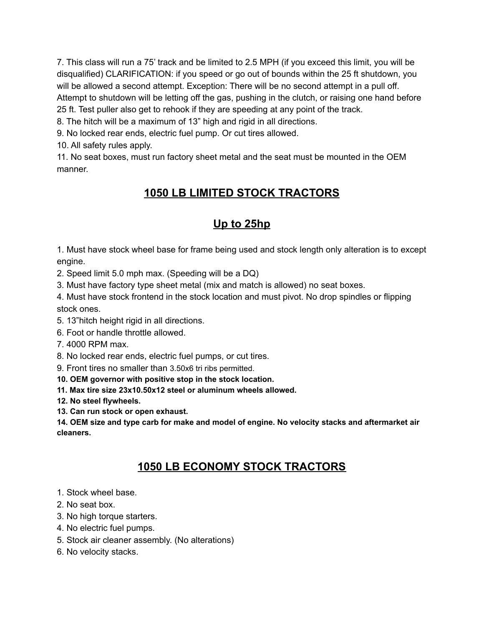7. This class will run a 75' track and be limited to 2.5 MPH (if you exceed this limit, you will be disqualified) CLARIFICATION: if you speed or go out of bounds within the 25 ft shutdown, you will be allowed a second attempt. Exception: There will be no second attempt in a pull off. Attempt to shutdown will be letting off the gas, pushing in the clutch, or raising one hand before 25 ft. Test puller also get to rehook if they are speeding at any point of the track.

8. The hitch will be a maximum of 13" high and rigid in all directions.

9. No locked rear ends, electric fuel pump. Or cut tires allowed.

10. All safety rules apply.

11. No seat boxes, must run factory sheet metal and the seat must be mounted in the OEM manner.

## **1050 LB LIMITED STOCK TRACTORS**

## **Up to 25hp**

1. Must have stock wheel base for frame being used and stock length only alteration is to except engine.

2. Speed limit 5.0 mph max. (Speeding will be a DQ)

3. Must have factory type sheet metal (mix and match is allowed) no seat boxes.

4. Must have stock frontend in the stock location and must pivot. No drop spindles or flipping stock ones.

5. 13"hitch height rigid in all directions.

6. Foot or handle throttle allowed.

7. 4000 RPM max.

8. No locked rear ends, electric fuel pumps, or cut tires.

9. Front tires no smaller than 3.50x6 tri ribs permitted.

**10. OEM governor with positive stop in the stock location.**

**11. Max tire size 23x10.50x12 steel or aluminum wheels allowed.**

**12. No steel flywheels.**

**13. Can run stock or open exhaust.**

**14. OEM size and type carb for make and model of engine. No velocity stacks and aftermarket air cleaners.**

## **1050 LB ECONOMY STOCK TRACTORS**

- 1. Stock wheel base.
- 2. No seat box.
- 3. No high torque starters.
- 4. No electric fuel pumps.
- 5. Stock air cleaner assembly. (No alterations)
- 6. No velocity stacks.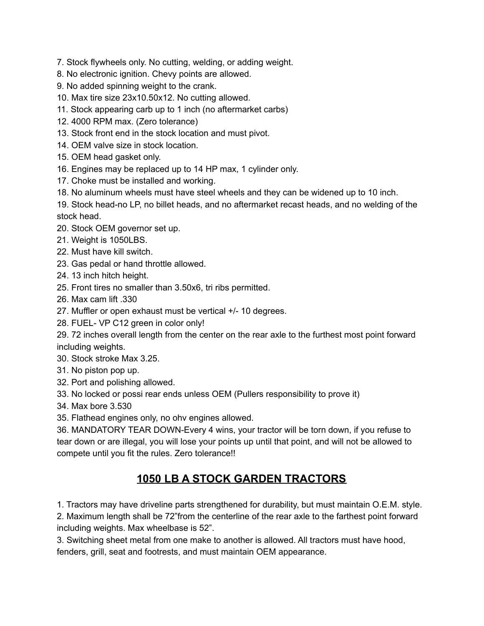- 7. Stock flywheels only. No cutting, welding, or adding weight.
- 8. No electronic ignition. Chevy points are allowed.
- 9. No added spinning weight to the crank.
- 10. Max tire size 23x10.50x12. No cutting allowed.
- 11. Stock appearing carb up to 1 inch (no aftermarket carbs)
- 12. 4000 RPM max. (Zero tolerance)
- 13. Stock front end in the stock location and must pivot.
- 14. OEM valve size in stock location.
- 15. OEM head gasket only.
- 16. Engines may be replaced up to 14 HP max, 1 cylinder only.
- 17. Choke must be installed and working.
- 18. No aluminum wheels must have steel wheels and they can be widened up to 10 inch.

19. Stock head-no LP, no billet heads, and no aftermarket recast heads, and no welding of the stock head.

- 20. Stock OEM governor set up.
- 21. Weight is 1050LBS.
- 22. Must have kill switch.
- 23. Gas pedal or hand throttle allowed.
- 24. 13 inch hitch height.
- 25. Front tires no smaller than 3.50x6, tri ribs permitted.
- 26. Max cam lift .330
- 27. Muffler or open exhaust must be vertical +/- 10 degrees.
- 28. FUEL- VP C12 green in color only!

29. 72 inches overall length from the center on the rear axle to the furthest most point forward including weights.

- 30. Stock stroke Max 3.25.
- 31. No piston pop up.
- 32. Port and polishing allowed.
- 33. No locked or possi rear ends unless OEM (Pullers responsibility to prove it)
- 34. Max bore 3.530
- 35. Flathead engines only, no ohv engines allowed.

36. MANDATORY TEAR DOWN-Every 4 wins, your tractor will be torn down, if you refuse to tear down or are illegal, you will lose your points up until that point, and will not be allowed to compete until you fit the rules. Zero tolerance!!

### **1050 LB A STOCK GARDEN TRACTORS**

1. Tractors may have driveline parts strengthened for durability, but must maintain O.E.M. style.

2. Maximum length shall be 72"from the centerline of the rear axle to the farthest point forward including weights. Max wheelbase is 52".

3. Switching sheet metal from one make to another is allowed. All tractors must have hood, fenders, grill, seat and footrests, and must maintain OEM appearance.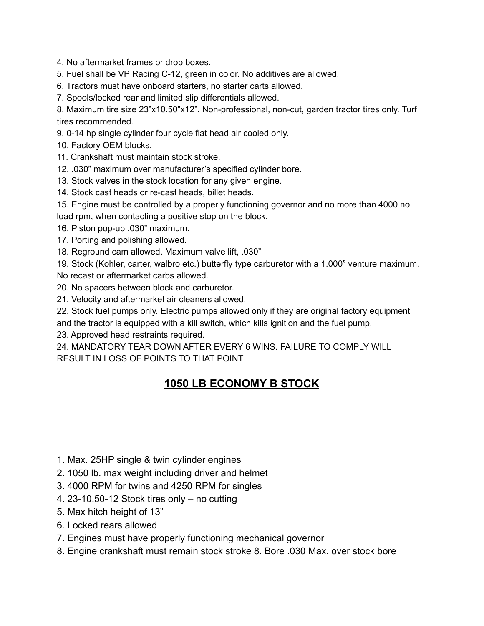4. No aftermarket frames or drop boxes.

5. Fuel shall be VP Racing C-12, green in color. No additives are allowed.

6. Tractors must have onboard starters, no starter carts allowed.

7. Spools/locked rear and limited slip differentials allowed.

8. Maximum tire size 23"x10.50"x12". Non-professional, non-cut, garden tractor tires only. Turf tires recommended.

9. 0-14 hp single cylinder four cycle flat head air cooled only.

10. Factory OEM blocks.

11. Crankshaft must maintain stock stroke.

12. .030" maximum over manufacturer's specified cylinder bore.

13. Stock valves in the stock location for any given engine.

14. Stock cast heads or re-cast heads, billet heads.

15. Engine must be controlled by a properly functioning governor and no more than 4000 no load rpm, when contacting a positive stop on the block.

16. Piston pop-up .030" maximum.

17. Porting and polishing allowed.

18. Reground cam allowed. Maximum valve lift, .030"

19. Stock (Kohler, carter, walbro etc.) butterfly type carburetor with a 1.000" venture maximum. No recast or aftermarket carbs allowed.

20. No spacers between block and carburetor.

21. Velocity and aftermarket air cleaners allowed.

22. Stock fuel pumps only. Electric pumps allowed only if they are original factory equipment and the tractor is equipped with a kill switch, which kills ignition and the fuel pump.

23. Approved head restraints required.

24. MANDATORY TEAR DOWN AFTER EVERY 6 WINS. FAILURE TO COMPLY WILL RESULT IN LOSS OF POINTS TO THAT POINT

### **1050 LB ECONOMY B STOCK**

1. Max. 25HP single & twin cylinder engines

2. 1050 lb. max weight including driver and helmet

3. 4000 RPM for twins and 4250 RPM for singles

4. 23-10.50-12 Stock tires only – no cutting

5. Max hitch height of 13"

6. Locked rears allowed

7. Engines must have properly functioning mechanical governor

8. Engine crankshaft must remain stock stroke 8. Bore .030 Max. over stock bore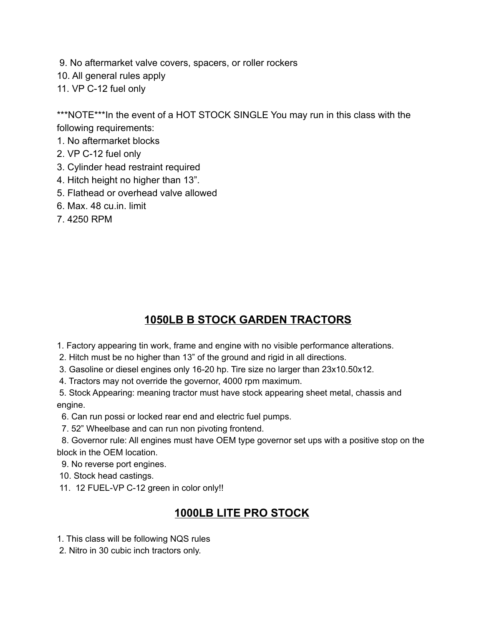- 9. No aftermarket valve covers, spacers, or roller rockers
- 10. All general rules apply
- 11. VP C-12 fuel only

\*\*\*NOTE\*\*\*In the event of a HOT STOCK SINGLE You may run in this class with the following requirements:

- 1. No aftermarket blocks
- 2. VP C-12 fuel only
- 3. Cylinder head restraint required
- 4. Hitch height no higher than 13".
- 5. Flathead or overhead valve allowed
- 6. Max. 48 cu.in. limit
- 7. 4250 RPM

#### **1050LB B STOCK GARDEN TRACTORS**

- 1. Factory appearing tin work, frame and engine with no visible performance alterations.
- 2. Hitch must be no higher than 13" of the ground and rigid in all directions.
- 3. Gasoline or diesel engines only 16-20 hp. Tire size no larger than 23x10.50x12.
- 4. Tractors may not override the governor, 4000 rpm maximum.

5. Stock Appearing: meaning tractor must have stock appearing sheet metal, chassis and engine.

- 6. Can run possi or locked rear end and electric fuel pumps.
- 7. 52" Wheelbase and can run non pivoting frontend.

8. Governor rule: All engines must have OEM type governor set ups with a positive stop on the block in the OEM location.

- 9. No reverse port engines.
- 10. Stock head castings.
- 11. 12 FUEL-VP C-12 green in color only!!

#### **1000LB LITE PRO STOCK**

- 1. This class will be following NQS rules
- 2. Nitro in 30 cubic inch tractors only.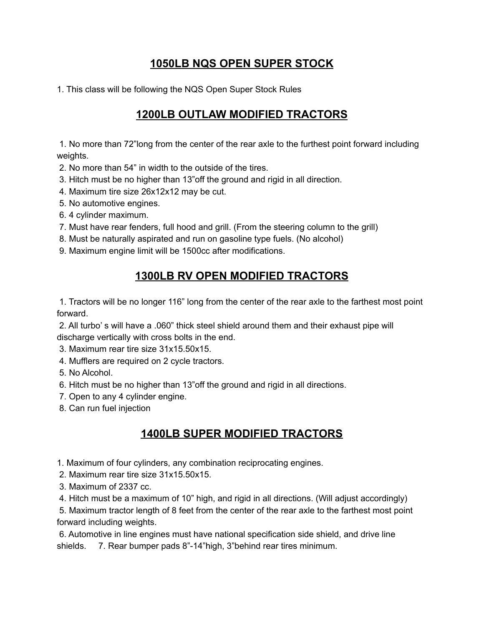## **1050LB NQS OPEN SUPER STOCK**

1. This class will be following the NQS Open Super Stock Rules

### **1200LB OUTLAW MODIFIED TRACTORS**

1. No more than 72"long from the center of the rear axle to the furthest point forward including weights.

2. No more than 54" in width to the outside of the tires.

3. Hitch must be no higher than 13"off the ground and rigid in all direction.

4. Maximum tire size 26x12x12 may be cut.

- 5. No automotive engines.
- 6. 4 cylinder maximum.
- 7. Must have rear fenders, full hood and grill. (From the steering column to the grill)
- 8. Must be naturally aspirated and run on gasoline type fuels. (No alcohol)
- 9. Maximum engine limit will be 1500cc after modifications.

### **1300LB RV OPEN MODIFIED TRACTORS**

1. Tractors will be no longer 116" long from the center of the rear axle to the farthest most point forward.

2. All turbo' s will have a .060" thick steel shield around them and their exhaust pipe will discharge vertically with cross bolts in the end.

3. Maximum rear tire size 31x15.50x15.

4. Mufflers are required on 2 cycle tractors.

5. No Alcohol.

6. Hitch must be no higher than 13"off the ground and rigid in all directions.

- 7. Open to any 4 cylinder engine.
- 8. Can run fuel injection

### **1400LB SUPER MODIFIED TRACTORS**

1. Maximum of four cylinders, any combination reciprocating engines.

2. Maximum rear tire size 31x15.50x15.

3. Maximum of 2337 cc.

4. Hitch must be a maximum of 10" high, and rigid in all directions. (Will adjust accordingly)

5. Maximum tractor length of 8 feet from the center of the rear axle to the farthest most point forward including weights.

6. Automotive in line engines must have national specification side shield, and drive line shields. 7. Rear bumper pads 8"-14"high, 3"behind rear tires minimum.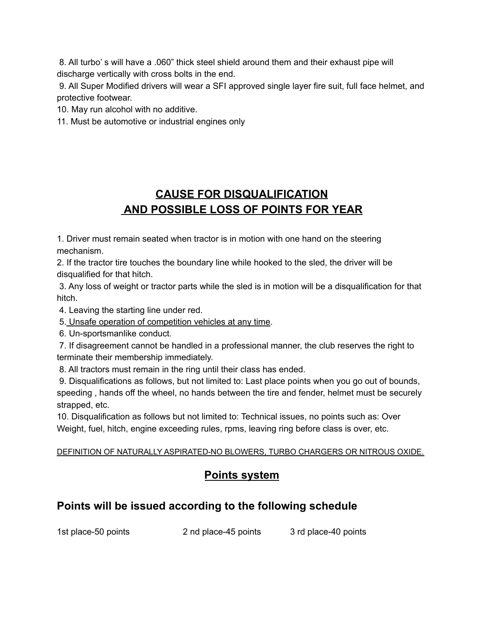8. All turbo' s will have a .060" thick steel shield around them and their exhaust pipe will discharge vertically with cross bolts in the end.

9. All Super Modified drivers will wear a SFI approved single layer fire suit, full face helmet, and protective footwear.

10. May run alcohol with no additive.

11. Must be automotive or industrial engines only

# **CAUSE FOR DISQUALIFICATION AND POSSIBLE LOSS OF POINTS FOR YEAR**

1. Driver must remain seated when tractor is in motion with one hand on the steering mechanism.

2. If the tractor tire touches the boundary line while hooked to the sled, the driver will be disqualified for that hitch.

3. Any loss of weight or tractor parts while the sled is in motion will be a disqualification for that hitch.

4. Leaving the starting line under red.

5. Unsafe operation of competition vehicles at any time.

6. Un-sportsmanlike conduct.

7. If disagreement cannot be handled in a professional manner, the club reserves the right to terminate their membership immediately.

8. All tractors must remain in the ring until their class has ended.

9. Disqualifications as follows, but not limited to: Last place points when you go out of bounds, speeding , hands off the wheel, no hands between the tire and fender, helmet must be securely strapped, etc.

10. Disqualification as follows but not limited to: Technical issues, no points such as: Over Weight, fuel, hitch, engine exceeding rules, rpms, leaving ring before class is over, etc.

DEFINITION OF NATURALLY ASPIRATED-NO BLOWERS, TURBO CHARGERS OR NITROUS OXIDE.

## **Points system**

# **Points will be issued according to the following schedule**

1st place-50 points 2 nd place-45 points 3 rd place-40 points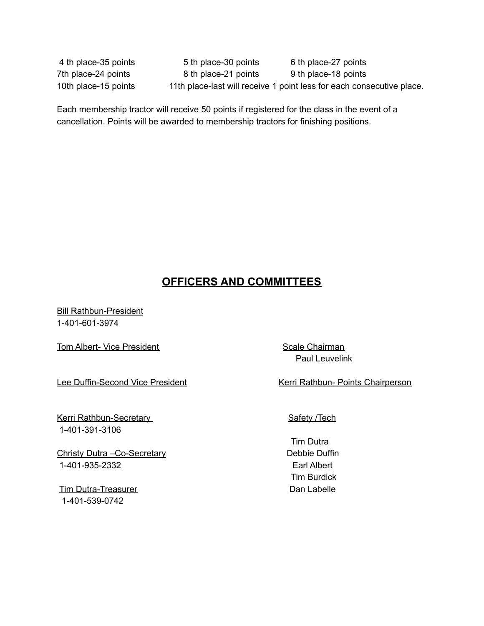4 th place-35 points 5 th place-30 points 6 th place-27 points 7th place-24 points 8 th place-21 points 9 th place-18 points 10th place-15 points 11th place-last will receive 1 point less for each consecutive place.

Each membership tractor will receive 50 points if registered for the class in the event of a cancellation. Points will be awarded to membership tractors for finishing positions.

## **OFFICERS AND COMMITTEES**

Bill Rathbun-President 1-401-601-3974

Tom Albert- Vice President North Scale Chairman

Kerri Rathbun-Secretary National Safety /Tech 1-401-391-3106

Christy Dutra –Co-Secretary **Debbie Duffin** 1-401-935-2332 Earl Albert

Tim Dutra-Treasurer **Dan Labelle** 1-401-539-0742

Paul Leuvelink

Lee Duffin-Second Vice President Kerri Rathbun- Points Chairperson

Tim Dutra Tim Burdick